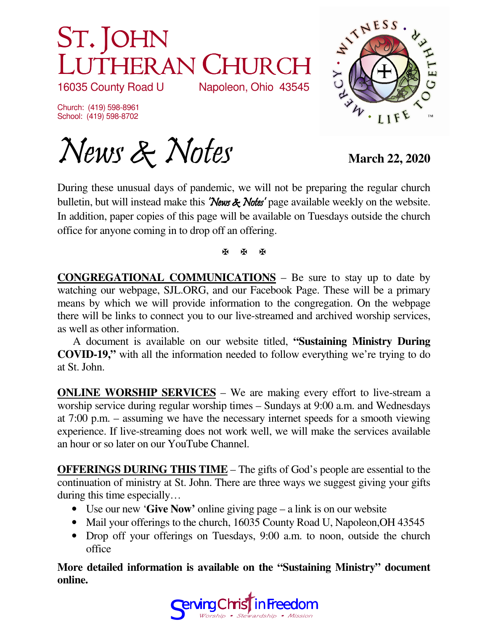## ST. JOHN LUTHERAN CHURCH<br>16035 County Road U Napoleon, Ohio 43545 Napoleon, Ohio 43545

Church: (419) 598-8961 School: (419) 598-8702



News & Notes March 22, 2020

During these unusual days of pandemic, we will not be preparing the regular church bulletin, but will instead make this 'News & Notes' page available weekly on the website. In addition, paper copies of this page will be available on Tuesdays outside the church office for anyone coming in to drop off an offering.

医图图

**CONGREGATIONAL COMMUNICATIONS** – Be sure to stay up to date by watching our webpage, SJL.ORG, and our Facebook Page. These will be a primary means by which we will provide information to the congregation. On the webpage there will be links to connect you to our live-streamed and archived worship services, as well as other information.

 A document is available on our website titled, **"Sustaining Ministry During COVID-19,"** with all the information needed to follow everything we're trying to do at St. John.

**ONLINE WORSHIP SERVICES** – We are making every effort to live-stream a worship service during regular worship times – Sundays at 9:00 a.m. and Wednesdays at 7:00 p.m. – assuming we have the necessary internet speeds for a smooth viewing experience. If live-streaming does not work well, we will make the services available an hour or so later on our YouTube Channel.

**OFFERINGS DURING THIS TIME** – The gifts of God's people are essential to the continuation of ministry at St. John. There are three ways we suggest giving your gifts during this time especially…

- Use our new '**Give Now'** online giving page a link is on our website
- Mail your offerings to the church, 16035 County Road U, Napoleon, OH 43545
- Drop off your offerings on Tuesdays, 9:00 a.m. to noon, outside the church office

**More detailed information is available on the "Sustaining Ministry" document online.**